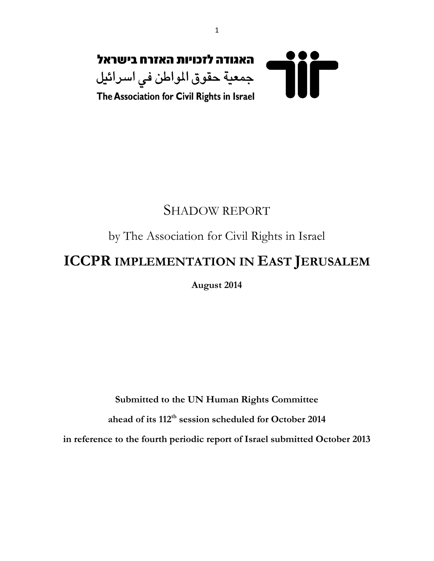

## SHADOW REPORT

## by The Association for Civil Rights in Israel

# **ICCPR IMPLEMENTATION IN EAST JERUSALEM**

**August 2014**

**Submitted to the UN Human Rights Committee** 

**ahead of its 112th session scheduled for October 2014**

**in reference to the fourth periodic report of Israel submitted October 2013**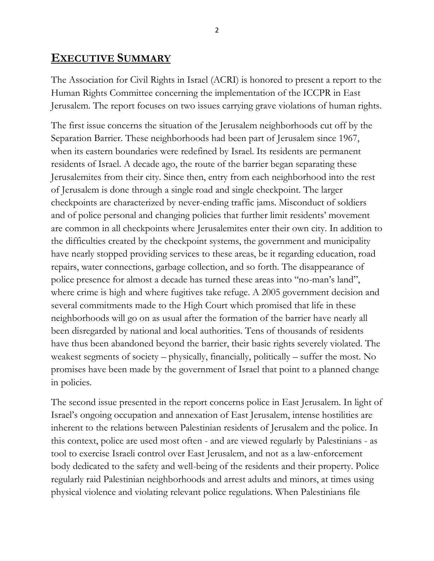## **EXECUTIVE SUMMARY**

The Association for Civil Rights in Israel (ACRI) is honored to present a report to the Human Rights Committee concerning the implementation of the ICCPR in East Jerusalem. The report focuses on two issues carrying grave violations of human rights.

The first issue concerns the situation of the Jerusalem neighborhoods cut off by the Separation Barrier. These neighborhoods had been part of Jerusalem since 1967, when its eastern boundaries were redefined by Israel. Its residents are permanent residents of Israel. A decade ago, the route of the barrier began separating these Jerusalemites from their city. Since then, entry from each neighborhood into the rest of Jerusalem is done through a single road and single checkpoint. The larger checkpoints are characterized by never-ending traffic jams. Misconduct of soldiers and of police personal and changing policies that further limit residents' movement are common in all checkpoints where Jerusalemites enter their own city. In addition to the difficulties created by the checkpoint systems, the government and municipality have nearly stopped providing services to these areas, be it regarding education, road repairs, water connections, garbage collection, and so forth. The disappearance of police presence for almost a decade has turned these areas into "no-man"s land", where crime is high and where fugitives take refuge. A 2005 government decision and several commitments made to the High Court which promised that life in these neighborhoods will go on as usual after the formation of the barrier have nearly all been disregarded by national and local authorities. Tens of thousands of residents have thus been abandoned beyond the barrier, their basic rights severely violated. The weakest segments of society – physically, financially, politically – suffer the most. No promises have been made by the government of Israel that point to a planned change in policies.

The second issue presented in the report concerns police in East Jerusalem. In light of Israel"s ongoing occupation and annexation of East Jerusalem, intense hostilities are inherent to the relations between Palestinian residents of Jerusalem and the police. In this context, police are used most often - and are viewed regularly by Palestinians - as tool to exercise Israeli control over East Jerusalem, and not as a law-enforcement body dedicated to the safety and well-being of the residents and their property. Police regularly raid Palestinian neighborhoods and arrest adults and minors, at times using physical violence and violating relevant police regulations. When Palestinians file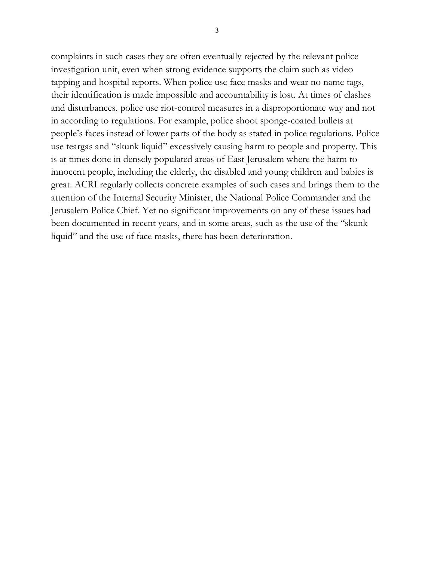complaints in such cases they are often eventually rejected by the relevant police investigation unit, even when strong evidence supports the claim such as video tapping and hospital reports. When police use face masks and wear no name tags, their identification is made impossible and accountability is lost. At times of clashes and disturbances, police use riot-control measures in a disproportionate way and not in according to regulations. For example, police shoot sponge-coated bullets at people"s faces instead of lower parts of the body as stated in police regulations. Police use teargas and "skunk liquid" excessively causing harm to people and property. This is at times done in densely populated areas of East Jerusalem where the harm to innocent people, including the elderly, the disabled and young children and babies is great. ACRI regularly collects concrete examples of such cases and brings them to the attention of the Internal Security Minister, the National Police Commander and the Jerusalem Police Chief. Yet no significant improvements on any of these issues had been documented in recent years, and in some areas, such as the use of the "skunk liquid" and the use of face masks, there has been deterioration.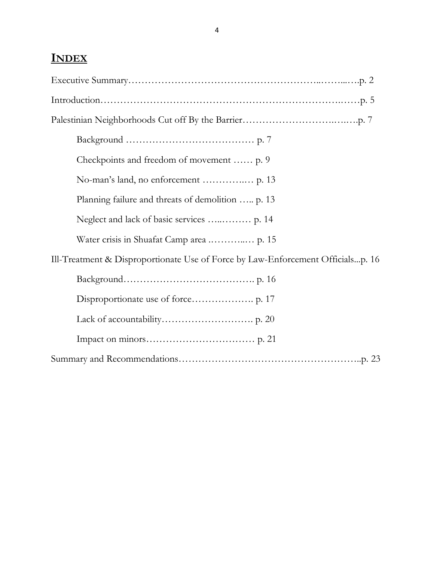## **INDEX**

| Checkpoints and freedom of movement  p. 9                                       |
|---------------------------------------------------------------------------------|
|                                                                                 |
| Planning failure and threats of demolition  p. 13                               |
|                                                                                 |
|                                                                                 |
| Ill-Treatment & Disproportionate Use of Force by Law-Enforcement Officialsp. 16 |
|                                                                                 |
|                                                                                 |
|                                                                                 |
|                                                                                 |
|                                                                                 |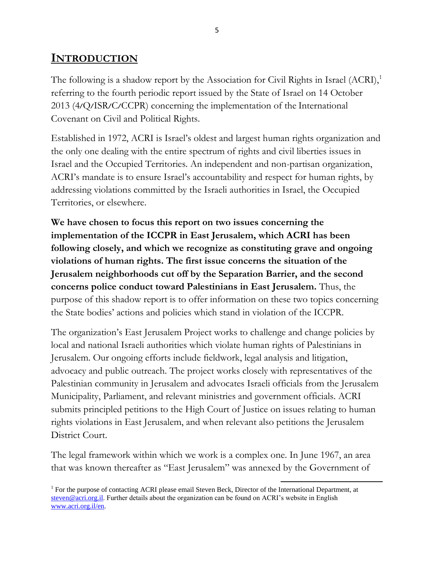## **INTRODUCTION**

The following is a shadow report by the Association for Civil Rights in Israel  $(ACRI)$ ,<sup>1</sup> referring to the fourth periodic report issued by the State of Israel on 14 October 2013 (4/Q/ISR/C/CCPR) concerning the implementation of the International Covenant on Civil and Political Rights.

Established in 1972, ACRI is Israel"s oldest and largest human rights organization and the only one dealing with the entire spectrum of rights and civil liberties issues in Israel and the Occupied Territories. An independent and non-partisan organization, ACRI's mandate is to ensure Israel's accountability and respect for human rights, by addressing violations committed by the Israeli authorities in Israel, the Occupied Territories, or elsewhere.

**We have chosen to focus this report on two issues concerning the implementation of the ICCPR in East Jerusalem, which ACRI has been following closely, and which we recognize as constituting grave and ongoing violations of human rights. The first issue concerns the situation of the Jerusalem neighborhoods cut off by the Separation Barrier, and the second concerns police conduct toward Palestinians in East Jerusalem.** Thus, the purpose of this shadow report is to offer information on these two topics concerning the State bodies" actions and policies which stand in violation of the ICCPR.

The organization"s East Jerusalem Project works to challenge and change policies by local and national Israeli authorities which violate human rights of Palestinians in Jerusalem. Our ongoing efforts include fieldwork, legal analysis and litigation, advocacy and public outreach. The project works closely with representatives of the Palestinian community in Jerusalem and advocates Israeli officials from the Jerusalem Municipality, Parliament, and relevant ministries and government officials. ACRI submits principled petitions to the High Court of Justice on issues relating to human rights violations in East Jerusalem, and when relevant also petitions the Jerusalem District Court.

The legal framework within which we work is a complex one. In June 1967, an area that was known thereafter as "East Jerusalem" was annexed by the Government of

 $\overline{a}$ <sup>1</sup> For the purpose of contacting ACRI please email Steven Beck, Director of the International Department, at [steven@acri.org.il.](mailto:steven@acri.org.il) Further details about the organization can be found on ACRI's website in English [www.acri.org.il/en.](http://www.acri.org.il/en)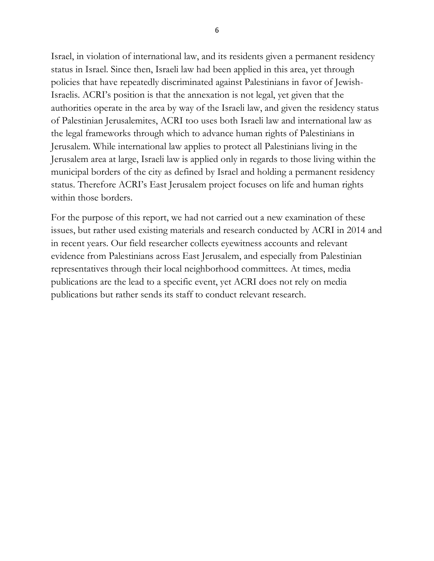Israel, in violation of international law, and its residents given a permanent residency status in Israel. Since then, Israeli law had been applied in this area, yet through policies that have repeatedly discriminated against Palestinians in favor of Jewish-Israelis. ACRI"s position is that the annexation is not legal, yet given that the authorities operate in the area by way of the Israeli law, and given the residency status of Palestinian Jerusalemites, ACRI too uses both Israeli law and international law as the legal frameworks through which to advance human rights of Palestinians in Jerusalem. While international law applies to protect all Palestinians living in the Jerusalem area at large, Israeli law is applied only in regards to those living within the municipal borders of the city as defined by Israel and holding a permanent residency status. Therefore ACRI"s East Jerusalem project focuses on life and human rights within those borders.

For the purpose of this report, we had not carried out a new examination of these issues, but rather used existing materials and research conducted by ACRI in 2014 and in recent years. Our field researcher collects eyewitness accounts and relevant evidence from Palestinians across East Jerusalem, and especially from Palestinian representatives through their local neighborhood committees. At times, media publications are the lead to a specific event, yet ACRI does not rely on media publications but rather sends its staff to conduct relevant research.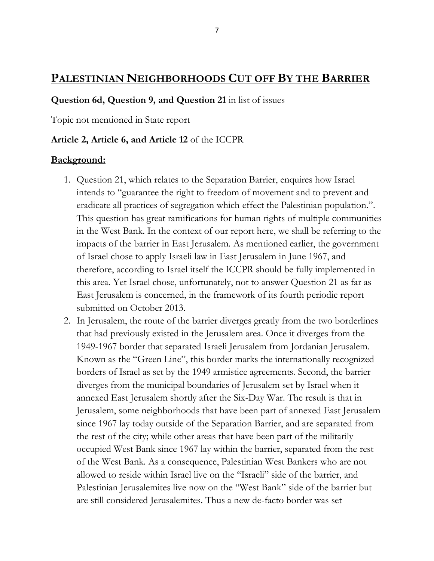## **PALESTINIAN NEIGHBORHOODS CUT OFF BY THE BARRIER**

#### **Question 6d, Question 9, and Question 21** in list of issues

Topic not mentioned in State report

#### **Article 2, Article 6, and Article 12** of the ICCPR

#### **Background:**

- 1. Question 21, which relates to the Separation Barrier, enquires how Israel intends to "guarantee the right to freedom of movement and to prevent and eradicate all practices of segregation which effect the Palestinian population.". This question has great ramifications for human rights of multiple communities in the West Bank. In the context of our report here, we shall be referring to the impacts of the barrier in East Jerusalem. As mentioned earlier, the government of Israel chose to apply Israeli law in East Jerusalem in June 1967, and therefore, according to Israel itself the ICCPR should be fully implemented in this area. Yet Israel chose, unfortunately, not to answer Question 21 as far as East Jerusalem is concerned, in the framework of its fourth periodic report submitted on October 2013.
- 2. In Jerusalem, the route of the barrier diverges greatly from the two borderlines that had previously existed in the Jerusalem area. Once it diverges from the 1949-1967 border that separated Israeli Jerusalem from Jordanian Jerusalem. Known as the "Green Line", this border marks the internationally recognized borders of Israel as set by the 1949 armistice agreements. Second, the barrier diverges from the municipal boundaries of Jerusalem set by Israel when it annexed East Jerusalem shortly after the Six-Day War. The result is that in Jerusalem, some neighborhoods that have been part of annexed East Jerusalem since 1967 lay today outside of the Separation Barrier, and are separated from the rest of the city; while other areas that have been part of the militarily occupied West Bank since 1967 lay within the barrier, separated from the rest of the West Bank. As a consequence, Palestinian West Bankers who are not allowed to reside within Israel live on the "Israeli" side of the barrier, and Palestinian Jerusalemites live now on the "West Bank" side of the barrier but are still considered Jerusalemites. Thus a new de-facto border was set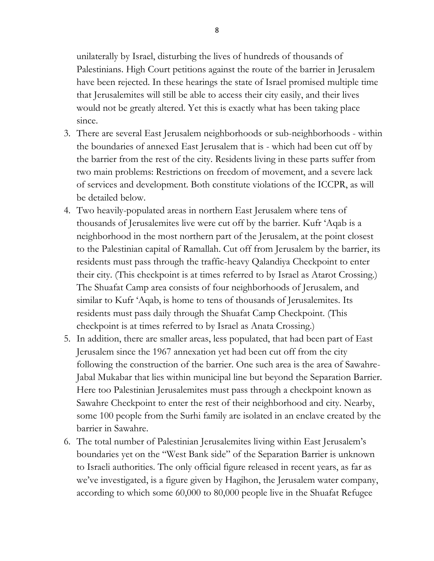unilaterally by Israel, disturbing the lives of hundreds of thousands of Palestinians. High Court petitions against the route of the barrier in Jerusalem have been rejected. In these hearings the state of Israel promised multiple time that Jerusalemites will still be able to access their city easily, and their lives would not be greatly altered. Yet this is exactly what has been taking place since.

- 3. There are several East Jerusalem neighborhoods or sub-neighborhoods within the boundaries of annexed East Jerusalem that is - which had been cut off by the barrier from the rest of the city. Residents living in these parts suffer from two main problems: Restrictions on freedom of movement, and a severe lack of services and development. Both constitute violations of the ICCPR, as will be detailed below.
- 4. Two heavily-populated areas in northern East Jerusalem where tens of thousands of Jerusalemites live were cut off by the barrier. Kufr "Aqab is a neighborhood in the most northern part of the Jerusalem, at the point closest to the Palestinian capital of Ramallah. Cut off from Jerusalem by the barrier, its residents must pass through the traffic-heavy Qalandiya Checkpoint to enter their city. (This checkpoint is at times referred to by Israel as Atarot Crossing.) The Shuafat Camp area consists of four neighborhoods of Jerusalem, and similar to Kufr "Aqab, is home to tens of thousands of Jerusalemites. Its residents must pass daily through the Shuafat Camp Checkpoint. (This checkpoint is at times referred to by Israel as Anata Crossing.)
- 5. In addition, there are smaller areas, less populated, that had been part of East Jerusalem since the 1967 annexation yet had been cut off from the city following the construction of the barrier. One such area is the area of Sawahre-Jabal Mukabar that lies within municipal line but beyond the Separation Barrier. Here too Palestinian Jerusalemites must pass through a checkpoint known as Sawahre Checkpoint to enter the rest of their neighborhood and city. Nearby, some 100 people from the Surhi family are isolated in an enclave created by the barrier in Sawahre.
- 6. The total number of Palestinian Jerusalemites living within East Jerusalem"s boundaries yet on the "West Bank side" of the Separation Barrier is unknown to Israeli authorities. The only official figure released in recent years, as far as we"ve investigated, is a figure given by Hagihon, the Jerusalem water company, according to which some 60,000 to 80,000 people live in the Shuafat Refugee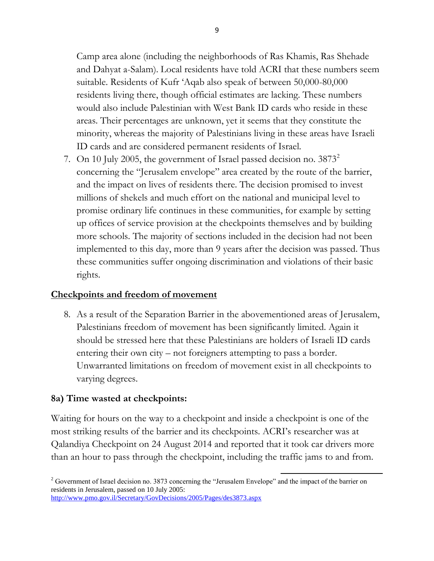Camp area alone (including the neighborhoods of Ras Khamis, Ras Shehade and Dahyat a-Salam). Local residents have told ACRI that these numbers seem suitable. Residents of Kufr "Aqab also speak of between 50,000-80,000 residents living there, though official estimates are lacking. These numbers would also include Palestinian with West Bank ID cards who reside in these areas. Their percentages are unknown, yet it seems that they constitute the minority, whereas the majority of Palestinians living in these areas have Israeli ID cards and are considered permanent residents of Israel.

7. On 10 July 2005, the government of Israel passed decision no.  $3873^2$ concerning the "Jerusalem envelope" area created by the route of the barrier, and the impact on lives of residents there. The decision promised to invest millions of shekels and much effort on the national and municipal level to promise ordinary life continues in these communities, for example by setting up offices of service provision at the checkpoints themselves and by building more schools. The majority of sections included in the decision had not been implemented to this day, more than 9 years after the decision was passed. Thus these communities suffer ongoing discrimination and violations of their basic rights.

#### **Checkpoints and freedom of movement**

8. As a result of the Separation Barrier in the abovementioned areas of Jerusalem, Palestinians freedom of movement has been significantly limited. Again it should be stressed here that these Palestinians are holders of Israeli ID cards entering their own city – not foreigners attempting to pass a border. Unwarranted limitations on freedom of movement exist in all checkpoints to varying degrees.

#### **8a) Time wasted at checkpoints:**

Waiting for hours on the way to a checkpoint and inside a checkpoint is one of the most striking results of the barrier and its checkpoints. ACRI"s researcher was at Qalandiya Checkpoint on 24 August 2014 and reported that it took car drivers more than an hour to pass through the checkpoint, including the traffic jams to and from.

 $2$  Government of Israel decision no. 3873 concerning the "Jerusalem Envelope" and the impact of the barrier on residents in Jerusalem, passed on 10 July 2005: <http://www.pmo.gov.il/Secretary/GovDecisions/2005/Pages/des3873.aspx>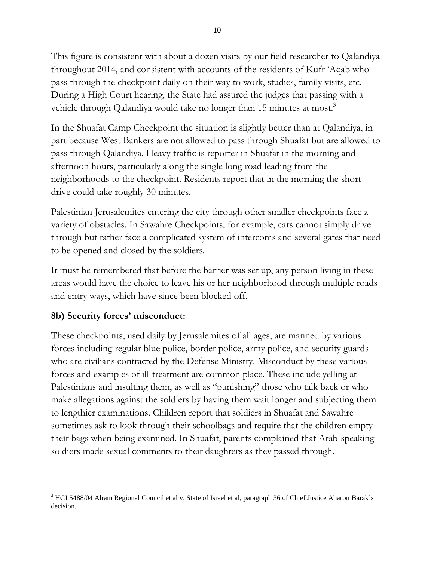This figure is consistent with about a dozen visits by our field researcher to Qalandiya throughout 2014, and consistent with accounts of the residents of Kufr "Aqab who pass through the checkpoint daily on their way to work, studies, family visits, etc. During a High Court hearing, the State had assured the judges that passing with a vehicle through Qalandiya would take no longer than 15 minutes at most.<sup>3</sup>

In the Shuafat Camp Checkpoint the situation is slightly better than at Qalandiya, in part because West Bankers are not allowed to pass through Shuafat but are allowed to pass through Qalandiya. Heavy traffic is reporter in Shuafat in the morning and afternoon hours, particularly along the single long road leading from the neighborhoods to the checkpoint. Residents report that in the morning the short drive could take roughly 30 minutes.

Palestinian Jerusalemites entering the city through other smaller checkpoints face a variety of obstacles. In Sawahre Checkpoints, for example, cars cannot simply drive through but rather face a complicated system of intercoms and several gates that need to be opened and closed by the soldiers.

It must be remembered that before the barrier was set up, any person living in these areas would have the choice to leave his or her neighborhood through multiple roads and entry ways, which have since been blocked off.

#### **8b) Security forces' misconduct:**

These checkpoints, used daily by Jerusalemites of all ages, are manned by various forces including regular blue police, border police, army police, and security guards who are civilians contracted by the Defense Ministry. Misconduct by these various forces and examples of ill-treatment are common place. These include yelling at Palestinians and insulting them, as well as "punishing" those who talk back or who make allegations against the soldiers by having them wait longer and subjecting them to lengthier examinations. Children report that soldiers in Shuafat and Sawahre sometimes ask to look through their schoolbags and require that the children empty their bags when being examined. In Shuafat, parents complained that Arab-speaking soldiers made sexual comments to their daughters as they passed through.

 $\overline{a}$ <sup>3</sup> HCJ 5488/04 Alram Regional Council et al v. State of Israel et al, paragraph 36 of Chief Justice Aharon Barak's decision.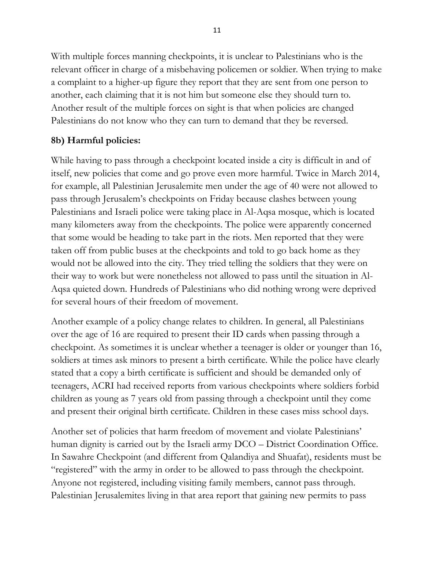With multiple forces manning checkpoints, it is unclear to Palestinians who is the relevant officer in charge of a misbehaving policemen or soldier. When trying to make a complaint to a higher-up figure they report that they are sent from one person to another, each claiming that it is not him but someone else they should turn to. Another result of the multiple forces on sight is that when policies are changed Palestinians do not know who they can turn to demand that they be reversed.

### **8b) Harmful policies:**

While having to pass through a checkpoint located inside a city is difficult in and of itself, new policies that come and go prove even more harmful. Twice in March 2014, for example, all Palestinian Jerusalemite men under the age of 40 were not allowed to pass through Jerusalem"s checkpoints on Friday because clashes between young Palestinians and Israeli police were taking place in Al-Aqsa mosque, which is located many kilometers away from the checkpoints. The police were apparently concerned that some would be heading to take part in the riots. Men reported that they were taken off from public buses at the checkpoints and told to go back home as they would not be allowed into the city. They tried telling the soldiers that they were on their way to work but were nonetheless not allowed to pass until the situation in Al-Aqsa quieted down. Hundreds of Palestinians who did nothing wrong were deprived for several hours of their freedom of movement.

Another example of a policy change relates to children. In general, all Palestinians over the age of 16 are required to present their ID cards when passing through a checkpoint. As sometimes it is unclear whether a teenager is older or younger than 16, soldiers at times ask minors to present a birth certificate. While the police have clearly stated that a copy a birth certificate is sufficient and should be demanded only of teenagers, ACRI had received reports from various checkpoints where soldiers forbid children as young as 7 years old from passing through a checkpoint until they come and present their original birth certificate. Children in these cases miss school days.

Another set of policies that harm freedom of movement and violate Palestinians' human dignity is carried out by the Israeli army DCO – District Coordination Office. In Sawahre Checkpoint (and different from Qalandiya and Shuafat), residents must be "registered" with the army in order to be allowed to pass through the checkpoint. Anyone not registered, including visiting family members, cannot pass through. Palestinian Jerusalemites living in that area report that gaining new permits to pass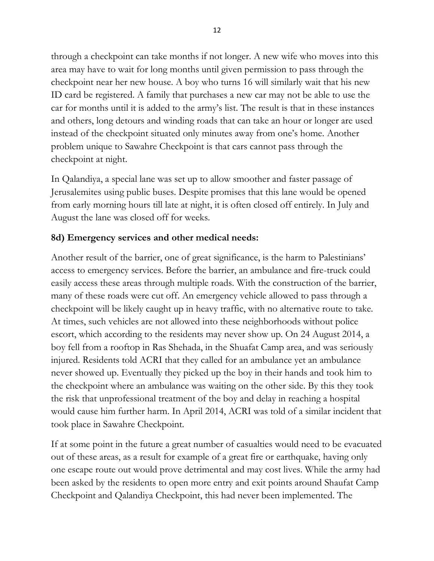through a checkpoint can take months if not longer. A new wife who moves into this area may have to wait for long months until given permission to pass through the checkpoint near her new house. A boy who turns 16 will similarly wait that his new ID card be registered. A family that purchases a new car may not be able to use the car for months until it is added to the army"s list. The result is that in these instances and others, long detours and winding roads that can take an hour or longer are used instead of the checkpoint situated only minutes away from one's home. Another problem unique to Sawahre Checkpoint is that cars cannot pass through the checkpoint at night.

In Qalandiya, a special lane was set up to allow smoother and faster passage of Jerusalemites using public buses. Despite promises that this lane would be opened from early morning hours till late at night, it is often closed off entirely. In July and August the lane was closed off for weeks.

### **8d) Emergency services and other medical needs:**

Another result of the barrier, one of great significance, is the harm to Palestinians" access to emergency services. Before the barrier, an ambulance and fire-truck could easily access these areas through multiple roads. With the construction of the barrier, many of these roads were cut off. An emergency vehicle allowed to pass through a checkpoint will be likely caught up in heavy traffic, with no alternative route to take. At times, such vehicles are not allowed into these neighborhoods without police escort, which according to the residents may never show up. On 24 August 2014, a boy fell from a rooftop in Ras Shehada, in the Shuafat Camp area, and was seriously injured. Residents told ACRI that they called for an ambulance yet an ambulance never showed up. Eventually they picked up the boy in their hands and took him to the checkpoint where an ambulance was waiting on the other side. By this they took the risk that unprofessional treatment of the boy and delay in reaching a hospital would cause him further harm. In April 2014, ACRI was told of a similar incident that took place in Sawahre Checkpoint.

If at some point in the future a great number of casualties would need to be evacuated out of these areas, as a result for example of a great fire or earthquake, having only one escape route out would prove detrimental and may cost lives. While the army had been asked by the residents to open more entry and exit points around Shaufat Camp Checkpoint and Qalandiya Checkpoint, this had never been implemented. The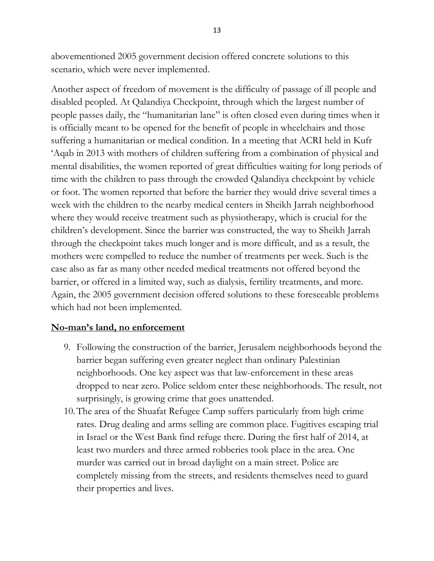abovementioned 2005 government decision offered concrete solutions to this scenario, which were never implemented.

Another aspect of freedom of movement is the difficulty of passage of ill people and disabled peopled. At Qalandiya Checkpoint, through which the largest number of people passes daily, the "humanitarian lane" is often closed even during times when it is officially meant to be opened for the benefit of people in wheelchairs and those suffering a humanitarian or medical condition. In a meeting that ACRI held in Kufr "Aqab in 2013 with mothers of children suffering from a combination of physical and mental disabilities, the women reported of great difficulties waiting for long periods of time with the children to pass through the crowded Qalandiya checkpoint by vehicle or foot. The women reported that before the barrier they would drive several times a week with the children to the nearby medical centers in Sheikh Jarrah neighborhood where they would receive treatment such as physiotherapy, which is crucial for the children"s development. Since the barrier was constructed, the way to Sheikh Jarrah through the checkpoint takes much longer and is more difficult, and as a result, the mothers were compelled to reduce the number of treatments per week. Such is the case also as far as many other needed medical treatments not offered beyond the barrier, or offered in a limited way, such as dialysis, fertility treatments, and more. Again, the 2005 government decision offered solutions to these foreseeable problems which had not been implemented.

#### **No-man's land, no enforcement**

- 9. Following the construction of the barrier, Jerusalem neighborhoods beyond the barrier began suffering even greater neglect than ordinary Palestinian neighborhoods. One key aspect was that law-enforcement in these areas dropped to near zero. Police seldom enter these neighborhoods. The result, not surprisingly, is growing crime that goes unattended.
- 10.The area of the Shuafat Refugee Camp suffers particularly from high crime rates. Drug dealing and arms selling are common place. Fugitives escaping trial in Israel or the West Bank find refuge there. During the first half of 2014, at least two murders and three armed robberies took place in the area. One murder was carried out in broad daylight on a main street. Police are completely missing from the streets, and residents themselves need to guard their properties and lives.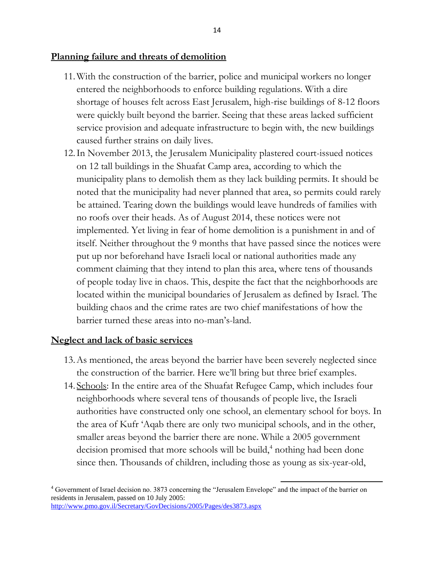#### **Planning failure and threats of demolition**

- 11.With the construction of the barrier, police and municipal workers no longer entered the neighborhoods to enforce building regulations. With a dire shortage of houses felt across East Jerusalem, high-rise buildings of 8-12 floors were quickly built beyond the barrier. Seeing that these areas lacked sufficient service provision and adequate infrastructure to begin with, the new buildings caused further strains on daily lives.
- 12.In November 2013, the Jerusalem Municipality plastered court-issued notices on 12 tall buildings in the Shuafat Camp area, according to which the municipality plans to demolish them as they lack building permits. It should be noted that the municipality had never planned that area, so permits could rarely be attained. Tearing down the buildings would leave hundreds of families with no roofs over their heads. As of August 2014, these notices were not implemented. Yet living in fear of home demolition is a punishment in and of itself. Neither throughout the 9 months that have passed since the notices were put up nor beforehand have Israeli local or national authorities made any comment claiming that they intend to plan this area, where tens of thousands of people today live in chaos. This, despite the fact that the neighborhoods are located within the municipal boundaries of Jerusalem as defined by Israel. The building chaos and the crime rates are two chief manifestations of how the barrier turned these areas into no-man"s-land.

#### **Neglect and lack of basic services**

- 13.As mentioned, the areas beyond the barrier have been severely neglected since the construction of the barrier. Here we"ll bring but three brief examples.
- 14. Schools: In the entire area of the Shuafat Refugee Camp, which includes four neighborhoods where several tens of thousands of people live, the Israeli authorities have constructed only one school, an elementary school for boys. In the area of Kufr "Aqab there are only two municipal schools, and in the other, smaller areas beyond the barrier there are none. While a 2005 government decision promised that more schools will be build,<sup>4</sup> nothing had been done since then. Thousands of children, including those as young as six-year-old,

 $\overline{a}$ <sup>4</sup> Government of Israel decision no. 3873 concerning the "Jerusalem Envelope" and the impact of the barrier on residents in Jerusalem, passed on 10 July 2005: <http://www.pmo.gov.il/Secretary/GovDecisions/2005/Pages/des3873.aspx>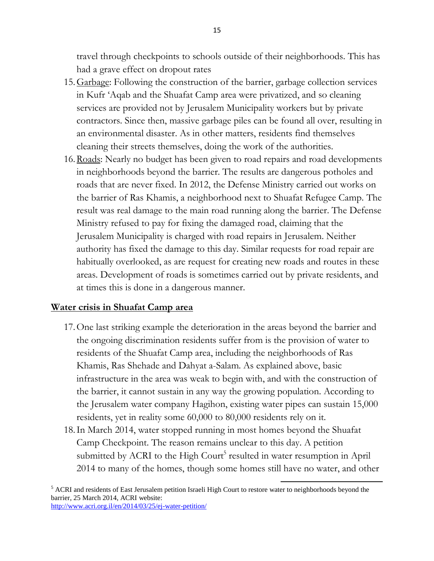travel through checkpoints to schools outside of their neighborhoods. This has had a grave effect on dropout rates

- 15.Garbage: Following the construction of the barrier, garbage collection services in Kufr "Aqab and the Shuafat Camp area were privatized, and so cleaning services are provided not by Jerusalem Municipality workers but by private contractors. Since then, massive garbage piles can be found all over, resulting in an environmental disaster. As in other matters, residents find themselves cleaning their streets themselves, doing the work of the authorities.
- 16. Roads: Nearly no budget has been given to road repairs and road developments in neighborhoods beyond the barrier. The results are dangerous potholes and roads that are never fixed. In 2012, the Defense Ministry carried out works on the barrier of Ras Khamis, a neighborhood next to Shuafat Refugee Camp. The result was real damage to the main road running along the barrier. The Defense Ministry refused to pay for fixing the damaged road, claiming that the Jerusalem Municipality is charged with road repairs in Jerusalem. Neither authority has fixed the damage to this day. Similar requests for road repair are habitually overlooked, as are request for creating new roads and routes in these areas. Development of roads is sometimes carried out by private residents, and at times this is done in a dangerous manner.

#### **Water crisis in Shuafat Camp area**

- 17.One last striking example the deterioration in the areas beyond the barrier and the ongoing discrimination residents suffer from is the provision of water to residents of the Shuafat Camp area, including the neighborhoods of Ras Khamis, Ras Shehade and Dahyat a-Salam. As explained above, basic infrastructure in the area was weak to begin with, and with the construction of the barrier, it cannot sustain in any way the growing population. According to the Jerusalem water company Hagihon, existing water pipes can sustain 15,000 residents, yet in reality some 60,000 to 80,000 residents rely on it.
- 18.In March 2014, water stopped running in most homes beyond the Shuafat Camp Checkpoint. The reason remains unclear to this day. A petition submitted by ACRI to the High Court<sup>5</sup> resulted in water resumption in April 2014 to many of the homes, though some homes still have no water, and other

 $\overline{a}$ <sup>5</sup> ACRI and residents of East Jerusalem petition Israeli High Court to restore water to neighborhoods beyond the barrier, 25 March 2014, ACRI website: <http://www.acri.org.il/en/2014/03/25/ej-water-petition/>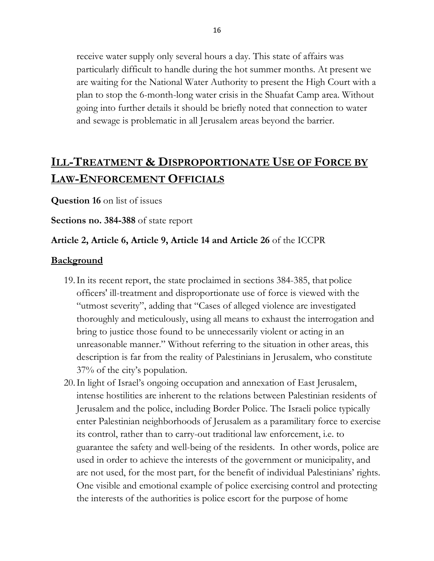receive water supply only several hours a day. This state of affairs was particularly difficult to handle during the hot summer months. At present we are waiting for the National Water Authority to present the High Court with a plan to stop the 6-month-long water crisis in the Shuafat Camp area. Without going into further details it should be briefly noted that connection to water and sewage is problematic in all Jerusalem areas beyond the barrier.

## **ILL-TREATMENT & DISPROPORTIONATE USE OF FORCE BY LAW-ENFORCEMENT OFFICIALS**

**Question 16** on list of issues

**Sections no. 384-388** of state report

#### **Article 2, Article 6, Article 9, Article 14 and Article 26** of the ICCPR

#### **Background**

- 19.In its recent report, the state proclaimed in sections 384-385, that police officers' ill-treatment and disproportionate use of force is viewed with the "utmost severity", adding that "Cases of alleged violence are investigated thoroughly and meticulously, using all means to exhaust the interrogation and bring to justice those found to be unnecessarily violent or acting in an unreasonable manner." Without referring to the situation in other areas, this description is far from the reality of Palestinians in Jerusalem, who constitute 37% of the city"s population.
- 20.In light of Israel"s ongoing occupation and annexation of East Jerusalem, intense hostilities are inherent to the relations between Palestinian residents of Jerusalem and the police, including Border Police. The Israeli police typically enter Palestinian neighborhoods of Jerusalem as a paramilitary force to exercise its control, rather than to carry-out traditional law enforcement, i.e. to guarantee the safety and well-being of the residents. In other words, police are used in order to achieve the interests of the government or municipality, and are not used, for the most part, for the benefit of individual Palestinians" rights. One visible and emotional example of police exercising control and protecting the interests of the authorities is police escort for the purpose of home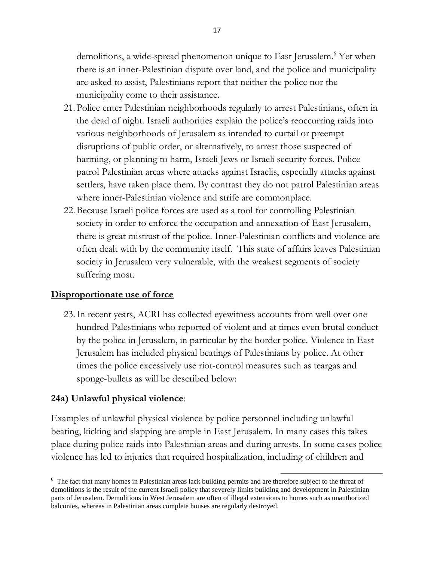demolitions, a wide-spread phenomenon unique to East Jerusalem.<sup>6</sup> Yet when there is an inner-Palestinian dispute over land, and the police and municipality are asked to assist, Palestinians report that neither the police nor the municipality come to their assistance.

- 21.Police enter Palestinian neighborhoods regularly to arrest Palestinians, often in the dead of night. Israeli authorities explain the police"s reoccurring raids into various neighborhoods of Jerusalem as intended to curtail or preempt disruptions of public order, or alternatively, to arrest those suspected of harming, or planning to harm, Israeli Jews or Israeli security forces. Police patrol Palestinian areas where attacks against Israelis, especially attacks against settlers, have taken place them. By contrast they do not patrol Palestinian areas where inner-Palestinian violence and strife are commonplace.
- 22.Because Israeli police forces are used as a tool for controlling Palestinian society in order to enforce the occupation and annexation of East Jerusalem, there is great mistrust of the police. Inner-Palestinian conflicts and violence are often dealt with by the community itself. This state of affairs leaves Palestinian society in Jerusalem very vulnerable, with the weakest segments of society suffering most.

#### **Disproportionate use of force**

23.In recent years, ACRI has collected eyewitness accounts from well over one hundred Palestinians who reported of violent and at times even brutal conduct by the police in Jerusalem, in particular by the border police. Violence in East Jerusalem has included physical beatings of Palestinians by police. At other times the police excessively use riot-control measures such as teargas and sponge-bullets as will be described below:

#### **24a) Unlawful physical violence**:

Examples of unlawful physical violence by police personnel including unlawful beating, kicking and slapping are ample in East Jerusalem. In many cases this takes place during police raids into Palestinian areas and during arrests. In some cases police violence has led to injuries that required hospitalization, including of children and

<sup>&</sup>lt;sup>6</sup> The fact that many homes in Palestinian areas lack building permits and are therefore subject to the threat of demolitions is the result of the current Israeli policy that severely limits building and development in Palestinian parts of Jerusalem. Demolitions in West Jerusalem are often of illegal extensions to homes such as unauthorized balconies, whereas in Palestinian areas complete houses are regularly destroyed.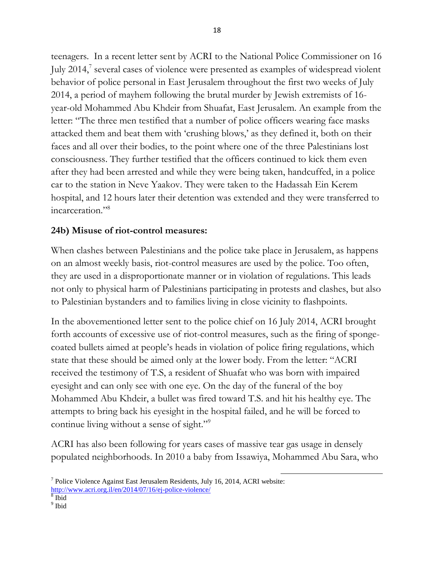teenagers. In a recent letter sent by ACRI to the National Police Commissioner on 16 July 2014,<sup>7</sup> several cases of violence were presented as examples of widespread violent behavior of police personal in East Jerusalem throughout the first two weeks of July 2014, a period of mayhem following the brutal murder by Jewish extremists of 16 year-old Mohammed Abu Khdeir from Shuafat, East Jerusalem. An example from the letter: "The three men testified that a number of police officers wearing face masks attacked them and beat them with 'crushing blows,' as they defined it, both on their faces and all over their bodies, to the point where one of the three Palestinians lost consciousness. They further testified that the officers continued to kick them even after they had been arrested and while they were being taken, handcuffed, in a police car to the station in Neve Yaakov. They were taken to the Hadassah Ein Kerem hospital, and 12 hours later their detention was extended and they were transferred to incarceration."<sup>8</sup>

#### **24b) Misuse of riot-control measures:**

When clashes between Palestinians and the police take place in Jerusalem, as happens on an almost weekly basis, riot-control measures are used by the police. Too often, they are used in a disproportionate manner or in violation of regulations. This leads not only to physical harm of Palestinians participating in protests and clashes, but also to Palestinian bystanders and to families living in close vicinity to flashpoints.

In the abovementioned letter sent to the police chief on 16 July 2014, ACRI brought forth accounts of excessive use of riot-control measures, such as the firing of spongecoated bullets aimed at people"s heads in violation of police firing regulations, which state that these should be aimed only at the lower body. From the letter: "ACRI received the testimony of T.S, a resident of Shuafat who was born with impaired eyesight and can only see with one eye. On the day of the funeral of the boy Mohammed Abu Khdeir, a bullet was fired toward T.S. and hit his healthy eye. The attempts to bring back his eyesight in the hospital failed, and he will be forced to continue living without a sense of sight."<sup>9</sup>

ACRI has also been following for years cases of massive tear gas usage in densely populated neighborhoods. In 2010 a baby from Issawiya, Mohammed Abu Sara, who

 $\overline{a}$ 

<http://www.acri.org.il/en/2014/07/16/ej-police-violence/>

<sup>&</sup>lt;sup>7</sup> Police Violence Against East Jerusalem Residents, July 16, 2014, ACRI website:

<sup>8</sup> Ibid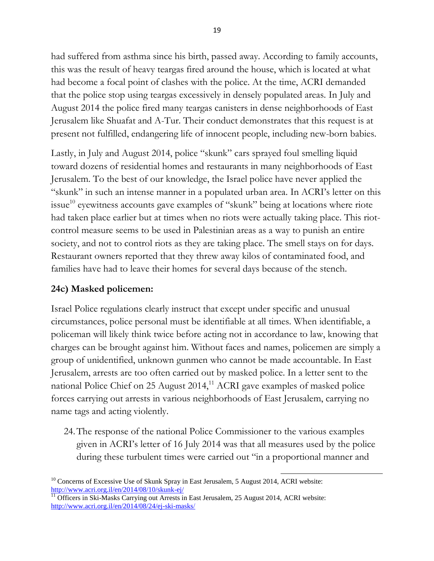had suffered from asthma since his birth, passed away. According to family accounts, this was the result of heavy teargas fired around the house, which is located at what had become a focal point of clashes with the police. At the time, ACRI demanded that the police stop using teargas excessively in densely populated areas. In July and August 2014 the police fired many teargas canisters in dense neighborhoods of East Jerusalem like Shuafat and A-Tur. Their conduct demonstrates that this request is at present not fulfilled, endangering life of innocent people, including new-born babies.

Lastly, in July and August 2014, police "skunk" cars sprayed foul smelling liquid toward dozens of residential homes and restaurants in many neighborhoods of East Jerusalem. To the best of our knowledge, the Israel police have never applied the "skunk" in such an intense manner in a populated urban area. In ACRI"s letter on this issue<sup>10</sup> eyewitness accounts gave examples of "skunk" being at locations where riote had taken place earlier but at times when no riots were actually taking place. This riotcontrol measure seems to be used in Palestinian areas as a way to punish an entire society, and not to control riots as they are taking place. The smell stays on for days. Restaurant owners reported that they threw away kilos of contaminated food, and families have had to leave their homes for several days because of the stench.

### **24c) Masked policemen:**

Israel Police regulations clearly instruct that except under specific and unusual circumstances, police personal must be identifiable at all times. When identifiable, a policeman will likely think twice before acting not in accordance to law, knowing that charges can be brought against him. Without faces and names, policemen are simply a group of unidentified, unknown gunmen who cannot be made accountable. In East Jerusalem, arrests are too often carried out by masked police. In a letter sent to the national Police Chief on 25 August 2014,<sup>11</sup> ACRI gave examples of masked police forces carrying out arrests in various neighborhoods of East Jerusalem, carrying no name tags and acting violently.

24.The response of the national Police Commissioner to the various examples given in ACRI"s letter of 16 July 2014 was that all measures used by the police during these turbulent times were carried out "in a proportional manner and

 $\overline{a}$  $10$  Concerns of Excessive Use of Skunk Spray in East Jerusalem, 5 August 2014, ACRI website: <http://www.acri.org.il/en/2014/08/10/skunk-ej/>

<sup>&</sup>lt;sup>11</sup> Officers in Ski-Masks Carrying out Arrests in East Jerusalem, 25 August 2014, ACRI website: <http://www.acri.org.il/en/2014/08/24/ej-ski-masks/>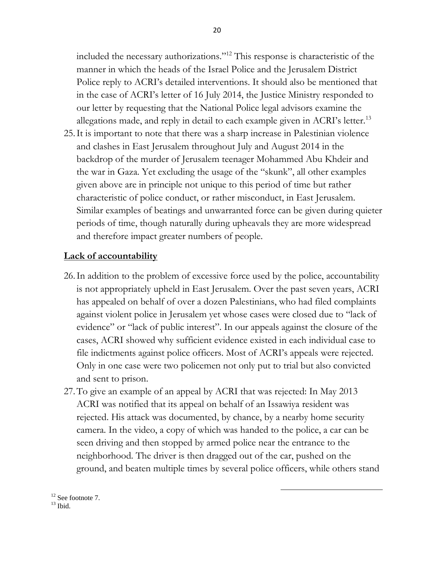included the necessary authorizations."<sup>12</sup> This response is characteristic of the manner in which the heads of the Israel Police and the Jerusalem District Police reply to ACRI"s detailed interventions. It should also be mentioned that in the case of ACRI"s letter of 16 July 2014, the Justice Ministry responded to our letter by requesting that the National Police legal advisors examine the allegations made, and reply in detail to each example given in ACRI's letter.<sup>13</sup>

25.It is important to note that there was a sharp increase in Palestinian violence and clashes in East Jerusalem throughout July and August 2014 in the backdrop of the murder of Jerusalem teenager Mohammed Abu Khdeir and the war in Gaza. Yet excluding the usage of the "skunk", all other examples given above are in principle not unique to this period of time but rather characteristic of police conduct, or rather misconduct, in East Jerusalem. Similar examples of beatings and unwarranted force can be given during quieter periods of time, though naturally during upheavals they are more widespread and therefore impact greater numbers of people.

#### **Lack of accountability**

- 26.In addition to the problem of excessive force used by the police, accountability is not appropriately upheld in East Jerusalem. Over the past seven years, ACRI has appealed on behalf of over a dozen Palestinians, who had filed complaints against violent police in Jerusalem yet whose cases were closed due to "lack of evidence" or "lack of public interest". In our appeals against the closure of the cases, ACRI showed why sufficient evidence existed in each individual case to file indictments against police officers. Most of ACRI's appeals were rejected. Only in one case were two policemen not only put to trial but also convicted and sent to prison.
- 27.To give an example of an appeal by ACRI that was rejected: In May 2013 ACRI was notified that its appeal on behalf of an Issawiya resident was rejected. His attack was documented, by chance, by a nearby home security camera. In the video, a copy of which was handed to the police, a car can be seen driving and then stopped by armed police near the entrance to the neighborhood. The driver is then dragged out of the car, pushed on the ground, and beaten multiple times by several police officers, while others stand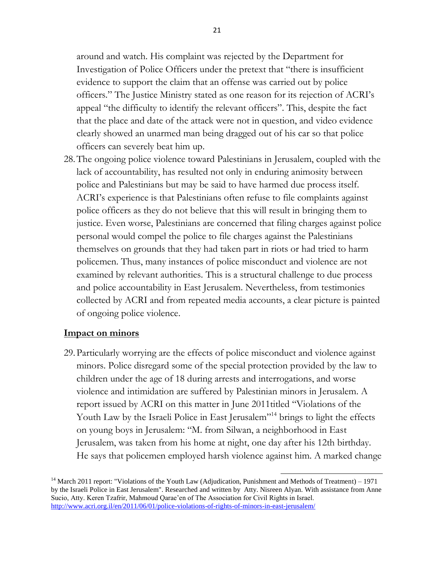around and watch. His complaint was rejected by the Department for Investigation of Police Officers under the pretext that "there is insufficient evidence to support the claim that an offense was carried out by police officers." The Justice Ministry stated as one reason for its rejection of ACRI"s appeal "the difficulty to identify the relevant officers". This, despite the fact that the place and date of the attack were not in question, and video evidence clearly showed an unarmed man being dragged out of his car so that police officers can severely beat him up.

28.The ongoing police violence toward Palestinians in Jerusalem, coupled with the lack of accountability, has resulted not only in enduring animosity between police and Palestinians but may be said to have harmed due process itself. ACRI"s experience is that Palestinians often refuse to file complaints against police officers as they do not believe that this will result in bringing them to justice. Even worse, Palestinians are concerned that filing charges against police personal would compel the police to file charges against the Palestinians themselves on grounds that they had taken part in riots or had tried to harm policemen. Thus, many instances of police misconduct and violence are not examined by relevant authorities. This is a structural challenge to due process and police accountability in East Jerusalem. Nevertheless, from testimonies collected by ACRI and from repeated media accounts, a clear picture is painted of ongoing police violence.

#### **Impact on minors**

29.Particularly worrying are the effects of police misconduct and violence against minors. Police disregard some of the special protection provided by the law to children under the age of 18 during arrests and interrogations, and worse violence and intimidation are suffered by Palestinian minors in Jerusalem. A report issued by ACRI on this matter in June 2011titled "Violations of the Youth Law by the Israeli Police in East Jerusalem<sup>"14</sup> brings to light the effects on young boys in Jerusalem: "M. from Silwan, a neighborhood in East Jerusalem, was taken from his home at night, one day after his 12th birthday. He says that policemen employed harsh violence against him. A marked change

<sup>&</sup>lt;sup>14</sup> March 2011 report: "Violations of the Youth Law (Adjudication, Punishment and Methods of Treatment) – 1971 by the Israeli Police in East Jerusalem". Researched and written by Atty. Nisreen Alyan. With assistance from Anne Sucio, Atty. Keren Tzafrir, Mahmoud Qarae'en of The Association for Civil Rights in Israel. <http://www.acri.org.il/en/2011/06/01/police-violations-of-rights-of-minors-in-east-jerusalem/>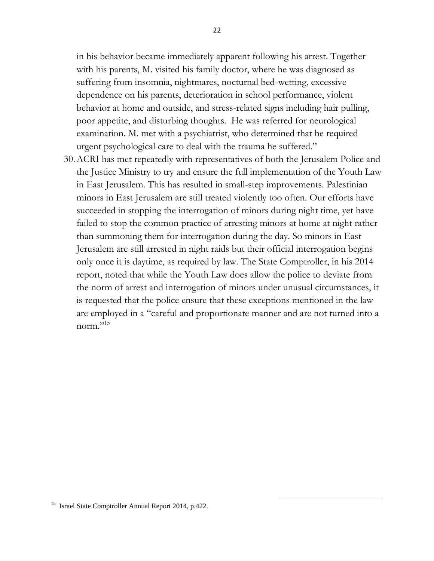in his behavior became immediately apparent following his arrest. Together with his parents, M. visited his family doctor, where he was diagnosed as suffering from insomnia, nightmares, nocturnal bed-wetting, excessive dependence on his parents, deterioration in school performance, violent behavior at home and outside, and stress-related signs including hair pulling, poor appetite, and disturbing thoughts. He was referred for neurological examination. M. met with a psychiatrist, who determined that he required urgent psychological care to deal with the trauma he suffered."

30.ACRI has met repeatedly with representatives of both the Jerusalem Police and the Justice Ministry to try and ensure the full implementation of the Youth Law in East Jerusalem. This has resulted in small-step improvements. Palestinian minors in East Jerusalem are still treated violently too often. Our efforts have succeeded in stopping the interrogation of minors during night time, yet have failed to stop the common practice of arresting minors at home at night rather than summoning them for interrogation during the day. So minors in East Jerusalem are still arrested in night raids but their official interrogation begins only once it is daytime, as required by law. The State Comptroller, in his 2014 report, noted that while the Youth Law does allow the police to deviate from the norm of arrest and interrogation of minors under unusual circumstances, it is requested that the police ensure that these exceptions mentioned in the law are employed in a "careful and proportionate manner and are not turned into a norm."<sup>15</sup>

<sup>&</sup>lt;sup>15</sup> Israel State Comptroller Annual Report 2014, p.422.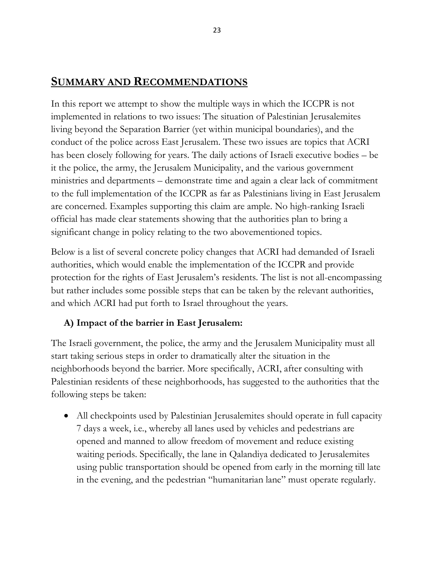## **SUMMARY AND RECOMMENDATIONS**

In this report we attempt to show the multiple ways in which the ICCPR is not implemented in relations to two issues: The situation of Palestinian Jerusalemites living beyond the Separation Barrier (yet within municipal boundaries), and the conduct of the police across East Jerusalem. These two issues are topics that ACRI has been closely following for years. The daily actions of Israeli executive bodies – be it the police, the army, the Jerusalem Municipality, and the various government ministries and departments – demonstrate time and again a clear lack of commitment to the full implementation of the ICCPR as far as Palestinians living in East Jerusalem are concerned. Examples supporting this claim are ample. No high-ranking Israeli official has made clear statements showing that the authorities plan to bring a significant change in policy relating to the two abovementioned topics.

Below is a list of several concrete policy changes that ACRI had demanded of Israeli authorities, which would enable the implementation of the ICCPR and provide protection for the rights of East Jerusalem"s residents. The list is not all-encompassing but rather includes some possible steps that can be taken by the relevant authorities, and which ACRI had put forth to Israel throughout the years.

### **A) Impact of the barrier in East Jerusalem:**

The Israeli government, the police, the army and the Jerusalem Municipality must all start taking serious steps in order to dramatically alter the situation in the neighborhoods beyond the barrier. More specifically, ACRI, after consulting with Palestinian residents of these neighborhoods, has suggested to the authorities that the following steps be taken:

• All checkpoints used by Palestinian Jerusalemites should operate in full capacity 7 days a week, i.e., whereby all lanes used by vehicles and pedestrians are opened and manned to allow freedom of movement and reduce existing waiting periods. Specifically, the lane in Qalandiya dedicated to Jerusalemites using public transportation should be opened from early in the morning till late in the evening, and the pedestrian "humanitarian lane" must operate regularly.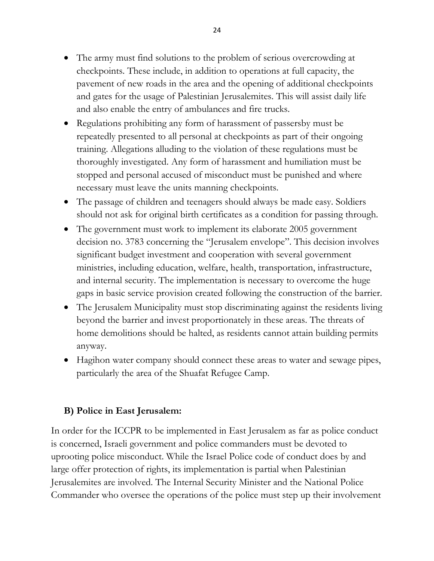- The army must find solutions to the problem of serious overcrowding at checkpoints. These include, in addition to operations at full capacity, the pavement of new roads in the area and the opening of additional checkpoints and gates for the usage of Palestinian Jerusalemites. This will assist daily life and also enable the entry of ambulances and fire trucks.
- Regulations prohibiting any form of harassment of passersby must be repeatedly presented to all personal at checkpoints as part of their ongoing training. Allegations alluding to the violation of these regulations must be thoroughly investigated. Any form of harassment and humiliation must be stopped and personal accused of misconduct must be punished and where necessary must leave the units manning checkpoints.
- The passage of children and teenagers should always be made easy. Soldiers should not ask for original birth certificates as a condition for passing through.
- The government must work to implement its elaborate 2005 government decision no. 3783 concerning the "Jerusalem envelope". This decision involves significant budget investment and cooperation with several government ministries, including education, welfare, health, transportation, infrastructure, and internal security. The implementation is necessary to overcome the huge gaps in basic service provision created following the construction of the barrier.
- The Jerusalem Municipality must stop discriminating against the residents living beyond the barrier and invest proportionately in these areas. The threats of home demolitions should be halted, as residents cannot attain building permits anyway.
- Hagihon water company should connect these areas to water and sewage pipes, particularly the area of the Shuafat Refugee Camp.

#### **B) Police in East Jerusalem:**

In order for the ICCPR to be implemented in East Jerusalem as far as police conduct is concerned, Israeli government and police commanders must be devoted to uprooting police misconduct. While the Israel Police code of conduct does by and large offer protection of rights, its implementation is partial when Palestinian Jerusalemites are involved. The Internal Security Minister and the National Police Commander who oversee the operations of the police must step up their involvement